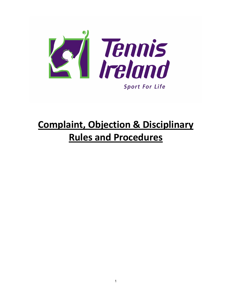

# **Complaint, Objection & Disciplinary Rules and Procedures**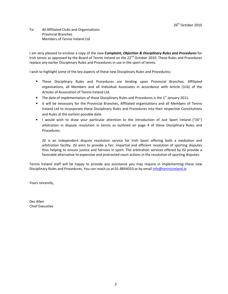To: All Affiliated Clubs and Organisations Provincial Branches Members of Tennis Ireland Ltd

I am very pleased to enclose a copy of the new *Complaint, Objection & Disciplinary Rules and Procedures* for Irish tennis as approved by the Board of Tennis Ireland on the 22<sup>nd</sup> October 2010. These Rules and Procedures replace any earlier Disciplinary Rules and Procedures in use in the sport of tennis.

I wish to highlight some of the key aspects of these new Disciplinary Rules and Procedures;-

- These Disciplinary Rules and Procedures are binding upon Provincial Branches, Affiliated organisations, all Members and all Individual Associates in accordance with Article (31b) of the Articles of Association of Tennis Ireland Ltd.
- The date of implementation of these Disciplinary Rules and Procedures is the  $1<sup>st</sup>$  January 2011.
- It will be necessary for the Provincial Branches, Affiliated organisations and all Members of Tennis Ireland Ltd to incorporate these Disciplinary Rules and Procedures into their respective Constitutions and Rules at the earliest possible date.
- I would wish to draw your particular attention to the introduction of Just Sport Ireland ("JSI") arbitration in dispute resolution in tennis as outlined on page 4 of these Disciplinary Rules and Procedures.

JSI is an independent dispute resolution service for Irish Sport offering both a mediation and arbitration facility. JSI aims to provide a fair, impartial and efficient resolution of sporting disputes thus helping to ensure justice and fairness in sport. The arbitration services offered by JSI provide a favorable alternative to expensive and protracted court actions in the resolution of sporting disputes.

Tennis Ireland staff will be happy to provide any assistance you may require in implementing these new Disciplinary Rules and Procedures. You can reach us at 01-8844010 or by email info@tennisireland.ie

Yours sincerely,

Des Allen Chief Executive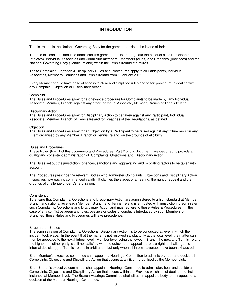## **INTRODUCTION**

**\_\_\_\_\_\_\_\_\_\_\_\_\_\_\_\_\_\_\_\_\_\_\_\_\_\_\_\_\_\_\_\_\_\_\_\_\_\_\_\_\_\_\_\_\_\_\_\_\_\_\_\_\_\_\_\_\_\_\_\_\_\_\_\_\_\_\_\_\_\_\_\_\_** 

**\_\_\_\_\_\_\_\_\_\_\_\_\_\_\_\_\_\_\_\_\_\_\_\_\_\_\_\_\_\_\_\_\_\_\_\_\_\_\_\_\_\_\_\_\_\_\_\_\_\_\_\_\_\_\_\_\_\_\_\_\_\_\_\_\_\_\_\_\_\_\_\_\_** 

Tennis Ireland is the National Governing Body for the game of tennis in the island of Ireland.

The role of Tennis Ireland is to administer the game of tennis and regulate the conduct of its Participants (athletes) Individual Associates (individual club members), Members (clubs) and Branches (provinces) and the National Governing Body (Tennis Ireland) within the Tennis Ireland structures.

These Complaint, Objection & Disciplinary Rules and Procedures apply to all Participants, Individual Associates, Members, Branches and Tennis Ireland from 1 January 2011.

Every Member should have ease of access to clear and simplified rules and to fair procedure in dealing with any Complaint, Objection or Disciplinary Action.

#### **Complaint**

The Rules and Procedures allow for a grievance procedure for Complaints to be made by any Individual Associate, Member, Branch against any other Individual Associate, Member, Branch of Tennis Ireland.

#### Disciplinary Action

The Rules and Procedures allow for Disciplinary Action to be taken against any Participant, Individual Associate, Member, Branch of Tennis Ireland for breaches of the Regulations, as defined.

#### **Objection**

The Rules and Procedures allow for an Objection by a Participant to be raised against any fixture result in any Event organised by any Member, Branch or Tennis Ireland on the grounds of eligibility .

#### Rules and Procedures

These Rules (Part 1 of this document) and Procedures (Part 2 of this document) are designed to provide a quality and consistent administration of Complaints, Objections and Disciplinary Action.

The Rules set out the jurisdiction, offences, sanctions and aggravating and mitigating factors to be taken into account.

The Procedures prescribe the relevant Bodies who administer Complaints, Objections and Disciplinary Action. It specifies how each is commenced validly. It clarifies the stages of a hearing, the right of appeal and the grounds of challenge under JSI arbitration.

#### **Consistency**

To ensure that Complaints, Objections and Disciplinary Action are administered to a high standard at Member, Branch and national level each Member, Branch and Tennis Ireland is entrusted with jurisdiction to administer such Complaints, Objections and Disciplinary Action and must adhere to these Rules & Procedures. In the case of any conflict between any rules, byelaws or codes of conducts introduced by such Members or Branches these Rules and Procedures will take precedence.

#### Structure of Bodies

The administration of Complaints, Objections Disciplinary Action is to be conducted at level in which the incident took place. In the event that the matter is not resolved satisfactorily at the local level, the matter can then be appealed to the next highest level. Member level being the lowest , Branch the next and Tennis Ireland the highest. If either party is still not satisfied with the outcome on appeal there is a right to challenge the internal decision(s) of Tennis Ireland in arbitration, but only when all internal avenues have been exhausted.

Each Member's executive committee shall appoint a Hearings Committee to administer, hear and decide all Complaints, Objections and Disciplinary Action that occurs at an Event organised by the Member club.

Each Branch's executive committee shall appoint a Hearings Committee to administer, hear and decide all Complaints, Objections and Disciplinary Action that occurs within the Province which is not dealt at the first instance at Member level. The Branch Hearings Committee shall sit as an appellate body to any appeal of a decision of the Member Hearings Committee.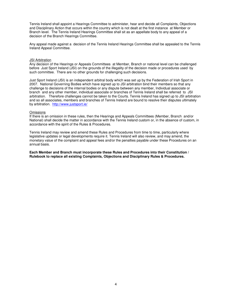Tennis Ireland shall appoint a Hearings Committee to administer, hear and decide all Complaints, Objections and Disciplinary Action that occurs within the country which is not dealt at the first instance at Member or Branch level. The Tennis Ireland Hearings Committee shall sit as an appellate body to any appeal of a decision of the Branch Hearings Committee.

Any appeal made against a decision of the Tennis Ireland Hearings Committee shall be appealed to the Tennis Ireland Appeal Committee.

#### JSI Arbitration

Any decision of the Hearings or Appeals Committees at Member, Branch or national level can be challenged before Just Sport Ireland (JSI) on the grounds of the illegality of the decision made or procedures used by such committee. There are no other grounds for challenging such decisions.

Just Sport Ireland (JSI) is an independent arbitral body which was set up by the Federation of Irish Sport in 2007. National Governing Bodies which have signed up to JSI arbitration bind their members so that any challenge to decisions of the internal bodies or any dispute between any member, Individual associate or branch and any other member, individual associate or branches of Tennis Ireland shall be referred to JSI arbitration. Therefore challenges cannot be taken to the Courts. Tennis Ireland has signed up to JSI arbitration and so all associates, members and branches of Tennis Ireland are bound to resolve their disputes ultimately by arbitration. http://www.justsport.ie/

#### **Omissions**

If there is an omission in these rules, then the Hearings and Appeals Committees (Member, Branch and/or National) shall decide the matter in accordance with the Tennis Ireland custom or, in the absence of custom, in accordance with the spirit of the Rules & Procedures.

Tennis Ireland may review and amend these Rules and Procedures from time to time, particularly where legislative updates or legal developments require it. Tennis Ireland will also review, and may amend, the monetary value of the complaint and appeal fees and/or the penalties payable under these Procedures on an annual basis.

**Each Member and Branch must incorporate these Rules and Procedures into their Constitution / Rulebook to replace all existing Complaints, Objections and Disciplinary Rules & Procedures.**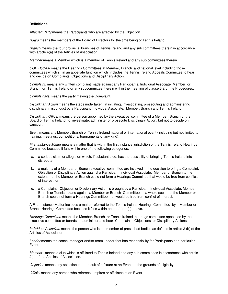#### **Definitions**

*Affected Party* means the Participants who are affected by the Objection

*Board* means the members of the Board of Directors for the time being of Tennis Ireland.

*Branch* means the four provincial branches of Tennis Ireland and any sub committees therein in accordance with article 4(a) of the Articles of Association.

*Member* means a Member which is a member of Tennis Ireland and any sub committees therein.

*COD Bodies-* means the Hearings Committees at Member, Branch and national level including those committees which sit in an appellate function which includes the Tennis Ireland Appeals Committee to hear and decide on Complaints, Objections and Disciplinary Action.

*Complaint:* means any written complaint made against any Participants, Individual Associate, Member, or Branch or Tennis Ireland or any subcommittee therein within the meaning of clause 3.2 of the Procedures.

*Complainant:* means the party making the Complaint.

*Disciplinary Action* means the steps undertaken in initiating, investigating, prosecuting and administering disciplinary misconduct by a Participant, Individual Associate, Member, Branch and Tennis Ireland.

*Disciplinary Officer* means the person appointed by the executive committee of a Member, Branch or the Board of Tennis Ireland to investigate, administer or prosecute Disciplinary Action, but not to decide on sanction.

*Event* means any Member, Branch or Tennis Ireland national or international event (including but not limited to training, meetings, competitions, tournaments of any kind).

*First Instance Matter* means a matter that is within the first instance jurisdiction of the Tennis Ireland Hearings Committee because it falls within one of the following categories:

- a. a serious claim or allegation which, if substantiated, has the possibility of bringing Tennis Ireland into disrepute;
- b. a majority of a Member or Branch executive committee are involved in the decision to bring a Complaint, Objection or Disciplinary Action against a Participant, Individual Associate, Member or Branch to the extent that the Member or Branch could not form a Hearings Committee that would be free from conflicts of interest; or
- c. a Complaint , Objection or Disciplinary Action is brought by a Participant, Individual Associate, Member , Branch or Tennis Ireland against a Member or Branch Committee as a whole such that the Member or Branch could not form a Hearings Committee that would be free from conflict of interest.

A First Instance Matter includes a matter referred to the Tennis Ireland Hearings Committee by a Member or Branch Hearings Committee because it falls within one of (a) to (c) above.

*Hearings Committee* means the Member, Branch or Tennis Ireland hearings committee appointed by the executive committee or boards to administer and hear Complaints, Objections or Disciplinary Actions.

*Individual Associate* means the person who is the member of prescribed bodies as defined in article 2 (b) of the Articles of Association

*Leader* means the coach, manager and/or team leader that has responsibility for Participants at a particular Event.

*Member:* means a club which is affiliated to Tennis Ireland and any sub committees in accordance with article 2(b) of the Articles of Association.

*Objection* means any objection to the result of a fixture at an Event on the grounds of eligibility.

*Official* means any person who referees, umpires or officiates at an Event.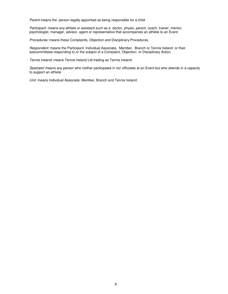*Parent* means the person legally appointed as being responsible for a child

*Participant* means any athlete or assistant such as a doctor, physio, parent, coach, trainer, mentor, psychologist, manager, advisor, agent or representative that accompanies an athlete to an Event.

*Procedures:* means these Complaints, Objection and Disciplinary Procedures.

*Respondent:* means the Participant, Individual Associate, Member, Branch or Tennis Ireland or their subcommittees responding to or the subject of a Complaint, Objection or Disciplinary Action

*Tennis Ireland:* means Tennis Ireland Ltd trading as Tennis Ireland.

*Spectator* means any person who neither participates in nor officiates at an Event but who attends in a capacity to support an athlete

*Unit* means Individual Associate, Member, Branch and Tennis Ireland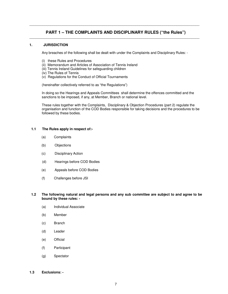## **PART 1 – THE COMPLAINTS AND DISCIPLINARY RULES ("the Rules")**  \_\_\_\_\_\_\_\_\_\_\_\_\_\_\_\_\_\_\_\_\_\_\_\_\_\_\_\_\_\_\_\_\_\_\_\_\_\_\_\_\_\_\_\_\_\_\_\_\_\_\_\_\_\_\_\_\_\_\_\_\_\_\_\_\_\_\_\_\_\_\_\_\_\_\_\_\_\_\_\_\_\_\_\_\_\_\_\_

\_\_\_\_\_\_\_\_\_\_\_\_\_\_\_\_\_\_\_\_\_\_\_\_\_\_\_\_\_\_\_\_\_\_\_\_\_\_\_\_\_\_\_\_\_\_\_\_\_\_\_\_\_\_\_\_\_\_\_\_\_\_\_\_\_\_\_\_\_\_\_\_\_\_\_\_\_\_\_\_\_\_\_\_\_\_\_\_

#### **1. JURISDICTION**

Any breaches of the following shall be dealt with under the Complaints and Disciplinary Rules: -

- (i) these Rules and Procedures
- (ii) Memorandum and Articles of Association of Tennis Ireland
- (iii) Tennis Ireland Guidelines for safeguarding children
- (iv) The Rules of Tennis
- (v) Regulations for the Conduct of Official Tournaments

(hereinafter collectively referred to as "the Regulations")

In doing so the Hearings and Appeals Committees shall determine the offences committed and the sanctions to be imposed, if any, at Member, Branch or national level.

These rules together with the Complaints, Disciplinary & Objection Procedures (part 2) regulate the organisation and function of the COD Bodies responsible for taking decisions and the procedures to be followed by these bodies.

#### **1.1 The Rules apply in respect of:-**

- (a) Complaints
- (b) Objections
- (c) Disciplinary Action
- (d) Hearings before COD Bodies
- (e) Appeals before COD Bodies
- (f) Challenges before JSI

#### **1.2 The following natural and legal persons and any sub committee are subject to and agree to be bound by these rules: -**

- (a) Individual Associate
- (b) Member
- (c) Branch
- (d) Leader
- (e) Official
- (f) Participant
- (g) Spectator
- **1.3 Exclusions:**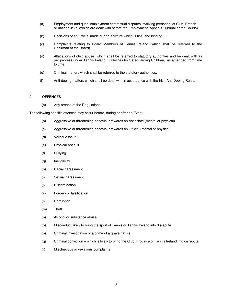- (a) Employment and quasi employment contractual disputes involving personnel at Club, Branch or national level (which are dealt with before the Employment Appeals Tribunal or the Courts)
- (b) Decisions of an Official made during a fixture which is final and binding .
- (c) Complaints relating to Board Members of Tennis Ireland (which shall be referred to the Chairman of the Board)
- (d) Allegations of child abuse (which shall be referred to statutory authorities and be dealt with as per process under Tennis Ireland Guidelines for Safeguarding Children, as amended from time to time.
- (e) Criminal matters which shall be referred to the statutory authorities.
- (f) Anti-doping matters which shall be dealt with in accordance with the Irish Anti Doping Rules.

### **2. OFFENCES**

(a) Any breach of the Regulations

The following specific offences may occur before, during or after an Event:

- (b) Aggressive or threatening behaviour towards an Associate (mental or physical)
- (c) Aggressive or threatening behaviour towards an Official (mental or physical)
- (d) Verbal Assault
- (e) Physical Assault
- (f) Bullying
- (g) Ineligibility
- (h) Racial harassment
- (i) Sexual harassment
- (j) Discrimination
- (k) Forgery or falsification
- (l) Corruption
- (m) Theft
- (n) Alcohol or substance abuse
- (o) Misconduct likely to bring the sport of Tennis or Tennis Ireland into disrepute
- (p) Criminal investigation of a crime of a grave nature
- (q) Criminal conviction which is likely to bring the Club, Province or Tennis Ireland into disrepute.
- (r) Mischievous or vexatious complaints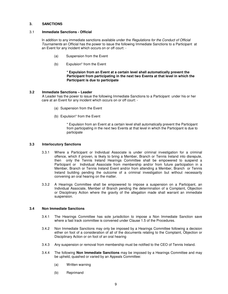#### **3. SANCTIONS**

#### 3.1 **Immediate Sanctions - Official**

In addition to any immediate sanctions available under the *Regulations for the Conduct of Official Tournaments* an Official has the power to issue the following Immediate Sanctions to a Participant at an Event for any incident which occurs on or off court: -

- (a) Suspension from the Event
- (b) Expulsion\* from the Event

#### **\* Expulsion from an Event at a certain level shall automatically prevent the Participant from participating in the next two Events at that level in which the Participant is due to participate**

#### **3.2 Immediate Sanctions – Leader**

A Leader has the power to issue the following Immediate Sanctions to a Participant under his or her care at an Event for any incident which occurs on or off court: -

- (a) Suspension from the Event
- (b) Expulsion\* from the Event

\* Expulsion from an Event at a certain level shall automatically prevent the Participant from participating in the next two Events at that level in which the Participant is due to participate

#### **3.3 Interlocutory Sanctions**

- 3.3.1 Where a Participant or Individual Associate is under criminal investigation for a criminal offence, which if proven, is likely to bring a Member, Branch or Tennis Ireland into disrepute, then only the Tennis Ireland Hearings Committee shall be empowered to suspend a Participant or Individual Associate from membership and/or from future participation in a Member, Branch or Tennis Ireland Event and/or from attending a Member, Branch or Tennis Ireland building pending the outcome of a criminal investigation but without necessarily convening an oral hearing on the matter.
- 3.3.2 A Hearings Committee shall be empowered to impose a suspension on a Participant, an Individual Associate, Member of Branch pending the determination of a Complaint, Objection or Disciplinary Action where the gravity of the allegation made shall warrant an immediate suspension.

#### **3.4 Non Immediate Sanctions**

- 3.4.1 The Hearings Committee has sole jurisdiction to impose a Non Immediate Sanction save where a fast track committee is convened under Clause 1.5 of the Procedures.
- 3.4.2 Non Immediate Sanctions may only be imposed by a Hearings Committee following a decision either on foot of a consideration of all of the documents relating to the Complaint, Objection or Disciplinary Action or on foot of an oral hearing
- 3.4.3 Any suspension or removal from membership must be notified to the CEO of Tennis Ireland.
- 3.4.4 The following **Non Immediate Sanctions** may be imposed by a Hearings Committee and may be upheld, quashed or varied by an Appeals Committee:
	- (a) Written warning
	- (b) Reprimand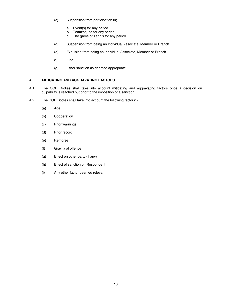- (c) Suspension from participation in;
	- a. Event(s) for any period
	- b. Team/squad for any period
	- c. The game of Tennis for any period
- (d) Suspension from being an Individual Associate, Member or Branch
- (e) Expulsion from being an Individual Associate, Member or Branch
- (f) Fine
- (g) Other sanction as deemed appropriate

## **4. MITIGATING AND AGGRAVATING FACTORS**

- 4.1 The COD Bodies shall take into account mitigating and aggravating factors once a decision on culpability is reached but prior to the imposition of a sanction.
- 4.2 The COD Bodies shall take into account the following factors:
	- (a) Age
	- (b) Cooperation
	- (c) Prior warnings
	- (d) Prior record
	- (e) Remorse
	- (f) Gravity of offence
	- (g) Effect on other party (if any)
	- (h) Effect of sanction on Respondent
	- (i) Any other factor deemed relevant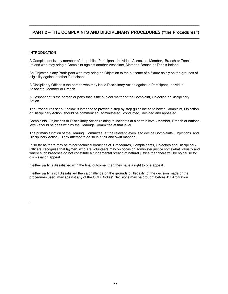## **PART 2 – THE COMPLAINTS AND DISCIPLINARY PROCEDURES ("the Procedures")**  \_\_\_\_\_\_\_\_\_\_\_\_\_\_\_\_\_\_\_\_\_\_\_\_\_\_\_\_\_\_\_\_\_\_\_\_\_\_\_\_\_\_\_\_\_\_\_\_\_\_\_\_\_\_\_\_\_\_\_\_\_\_\_\_\_\_\_\_\_\_\_\_\_\_\_\_\_\_\_\_\_\_\_\_\_\_\_\_

\_\_\_\_\_\_\_\_\_\_\_\_\_\_\_\_\_\_\_\_\_\_\_\_\_\_\_\_\_\_\_\_\_\_\_\_\_\_\_\_\_\_\_\_\_\_\_\_\_\_\_\_\_\_\_\_\_\_\_\_\_\_\_\_\_\_\_\_\_\_\_\_\_\_\_\_\_\_\_\_\_\_\_\_\_\_\_\_

#### **INTRODUCTION**

.

A Complainant is any member of the public, Participant, Individual Associate, Member, Branch or Tennis Ireland who may bring a Complaint against another Associate, Member, Branch or Tennis Ireland.

An Objector is any Participant who may bring an Objection to the outcome of a fixture solely on the grounds of eligibility against another Participant.

A Disciplinary Officer is the person who may issue Disciplinary Action against a Participant, Individual Associate, Member or Branch.

A Respondent is the person or party that is the subject matter of the Complaint, Objection or Disciplinary Action.

The Procedures set out below is intended to provide a step by step guideline as to how a Complaint, Objection or Disciplinary Action should be commenced, administered, conducted, decided and appealed.

Complaints, Objections or Disciplinary Action relating to incidents at a certain level (Member, Branch or national level) should be dealt with by the Hearings Committee at that level.

The primary function of the Hearing Committee (at the relevant level) is to decide Complaints, Objections and Disciplinary Action . They attempt to do so in a fair and swift manner.

In so far as there may be minor technical breaches of Procedures, Complainants, Objectors and Disciplinary Officers recognise that laymen, who are volunteers may on occasion administer justice somewhat robustly and where such breaches do not constitute a fundamental breach of natural justice then there will be no cause for dismissal on appeal .

If either party is dissatisfied with the final outcome, then they have a right to one appeal .

If either party is still dissatisfied then a challenge on the grounds of illegality of the decision made or the procedures used may against any of the COD Bodies' decisions may be brought before JSI Arbitration.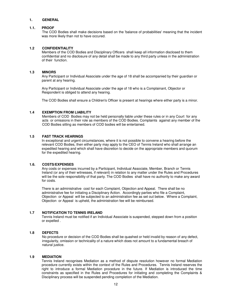#### **1. GENERAL**

#### **1.1. PROOF**

 The COD Bodies shall make decisions based on the 'balance of probabilities' meaning that the incident was more likely than not to have occured.

#### **1.2 CONFIDENTIALITY**

Members of the COD Bodies and Disciplinary Officers shall keep all information disclosed to them confidential and no disclosure of any detail shall be made to any third party unless in the administration of their function.

#### **1.3 MINORS**

Any Participant or Individual Associate under the age of 18 shall be accompanied by their guardian or parent at any hearing.

Any Participant or Individual Associate under the age of 18 who is a Complainant, Objector or Respondent is obliged to attend any hearing.

The COD Bodies shall ensure a Children's Officer is present at hearings where either party is a minor.

#### **1.4 EXEMPTION FROM LIABILITY**

Members of COD Bodies may not be held personally liable under these rules or in any Court for any acts or omissions in their role as members of the COD Bodies. Complaints against any member of the COD Bodies sitting as members of COD bodies will be entertained.

#### **1.5 FAST TRACK HEARINGS**

In exceptional and urgent circumstances, where it is not possible to convene a hearing before the relevant COD Bodies, then either party may apply to the CEO of Tennis Ireland who shall arrange an expedited hearing and which shall have discretion to decide on the appropriate members and quorum for the expedited hearing.

#### **1.6. COSTS/EXPENSES**

Any costs or expenses incurred by a Participant, Individual Associate, Member, Branch or Tennis Ireland (or any of their witnesses, if relevant) in relation to any matter under the Rules and Procedures will be the sole responsibility of that party. The COD Bodies shall have no authority to make any award for costs.

There is an administrative cost for each Complaint, Objection and Appeal. There shall be no administrative fee for initiating a Disciplinary Action. Accordingly parties who file a Complaint, Objection or Appeal will be subjected to an administration fee as set out below. Where a Complaint, Objection or Appeal is upheld, the administration fee will be reimbursed.

#### **1.7 NOTIFICATION TO TENNIS IRELAND**

Tennis Ireland must be notified if an Individual Associate is suspended, stepped down from a position or expelled .

#### **1.8 DEFECTS**

No procedure or decision of the COD Bodies shall be quashed or held invalid by reason of any defect, irregularity, omission or technicality of a nature which does not amount to a fundamental breach of natural justice.

#### **1.9 MEDIATION**

Tennis Ireland recognises Mediation as a method of dispute resolution however no formal Mediation procedure currently exists within the context of the Rules and Procedures. Tennis Ireland reserves the right to introduce a formal Mediation procedure in the future. If Mediation is introduced the time constraints as specified in the Rules and Procedures for initiating and completing the Complaints & Disciplinary process will be suspended pending completion of the Mediation.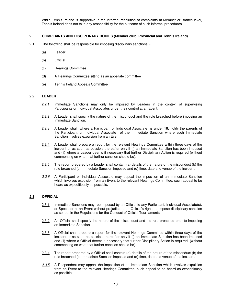While Tennis Ireland is supportive in the informal resolution of complaints at Member or Branch level, Tennis Ireland does not take any responsibility for the outcome of such informal procedures.

#### **2. COMPLAINTS AND DISCIPLINARY BODIES (Member club, Provincial and Tennis Ireland)**

- 2.1 The following shall be responsible for imposing disciplinary sanctions:
	- (a) Leader
	- (b) Official
	- (c) Hearings Committee
	- (d) A Hearings Committee sitting as an appellate committee
	- (e) Tennis Ireland Appeals Committee

#### 2.2 **LEADER**

- 2.2.1 Immediate Sanctions may only be imposed by Leaders in the context of supervising Participants or Individual Associates under their control at an Event.
- 2.2.2 A Leader shall specify the nature of the misconduct and the rule breached before imposing an Immediate Sanction.
- 2.2.3 A Leader shall, where a Participant or Individual Associate is under 18, notify the parents of the Participant or Individual Associate of the Immediate Sanction where such Immediate Sanction involves expulsion from an Event.
- 2.2.4 A Leader shall prepare a report for the relevant Hearings Committee within three days of the incident or as soon as possible thereafter only if (i) an Immediate Sanction has been imposed and (ii) where a Leader deems it necessary that further Disciplinary Action is required (without commenting on what that further sanction should be).
- 2.2.5 The report prepared by a Leader shall contain (a) details of the nature of the misconduct (b) the rule breached (c) Immediate Sanction imposed and (d) time, date and venue of the incident.
- *2.2.6* A Participant or Individual Associate may appeal the imposition of an Immediate Sanction which involves expulsion from an Event to the relevant Hearings Committee, such appeal to be heard as expeditiously as possible.

## **2.3 OFFICIAL**

- 2.3.1 Immediate Sanctions may be imposed by an Official to any Participant, Individual Associate(s), or Spectator at an Event without prejudice to an Official's rights to impose disciplinary sanction as set out in the Regulations for the Conduct of Official Tournaments.
- 2.3.2 An Official shall specify the nature of the misconduct and the rule breached prior to imposing an Immediate Sanction.
- 2.3.3 A Official shall prepare a report for the relevant Hearings Committee within three days of the incident or as soon as possible thereafter only if (i) an Immediate Sanction has been imposed and (ii) where a Official deems it necessary that further Disciplinary Action is required. (without commenting on what that further sanction should be).
- 2.3.4 The report prepared by a Official shall contain (a) details of the nature of the misconduct (b) the rule breached (c) Immediate Sanction imposed and (d) time, date and venue of the incident.
- *2.3.5* A Respondent may appeal the imposition of an Immediate Sanction which involves expulsion from an Event to the relevant Hearings Committee, such appeal to be heard as expeditiously as possible.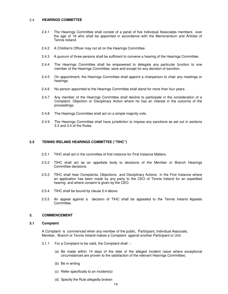#### 2.4 **HEARINGS COMMITTEE**

- 2.4.1 The Hearings Committee shall consist of a panel of five Individual Associates members over the age of 18 who shall be appointed in accordance with the Memorandum and Articles of Tennis Ireland.
- 2.4.2 A Children's Officer may not sit on the Hearings Committee.
- 2.4.3 A quorum of three persons shall be sufficient to convene a hearing of the Hearings Committee.
- 2.4.4 The Hearings Committee shall be empowered to delegate any particular function to one member of the Hearings Committee, save and except for any decision of sanction.
- 2.4.5 On appointment, the Hearings Committee shall appoint a chairperson to chair any meetings or hearings.
- 2.4.6 No person appointed to the Hearings Committee shall stand for more than four years.
- 2.4.7 Any member of the Hearings Committee shall decline to participate in the consideration of a Complaint, Objection or Disciplinary Action where he has an interest in the outcome of the proceedings.
- 2.4.8 The Hearings Committee shall act on a simple majority vote.
- 2.4.9 The Hearings Committee shall have jurisdiction to impose any sanctions as set out in sections 3.3 and 3.4 of the Rules.

#### **2.5 TENNIS IRELAND HEARINGS COMMITTEE ("TIHC")**

- 2.5.1 TIHC shall act in the committee of first instance for First Instance Matters.
- 2.5.2 TIHC shall act as an appellate body to decisions of the Member or Branch Hearings Committee decisions.
- 2.5.3 TIHC shall hear Complaints, Objections and Disciplinary Actions in the First Instance where an application has been made by any party to the CEO of Tennis Ireland for an expedited hearing and where consent is given by the CEO.
- 2.5.4 TIHC shall be bound by clause 2.4 above.
- 2.5.5 An appeal against a decision of TIHC shall be appealed to the Tennis Ireland Appeals Committee.

#### **3. COMMENCEMENT**

#### **3.1 Complaint**

A Complaint is commenced when any member of the public, Participant, Individual Associate, Member, Branch or Tennis Ireland makes a Complaint against another Participant or Unit .

- 3.1.1 For a Complaint to be valid, the Complaint shall :
	- (a) Be made within 14 days of the date of the alleged incident (save where exceptional circumstances are proven to the satisfaction of the relevant Hearings Committee).
	- (b) Be in writing
	- (c) Refer specifically to an incident(s)
	- (d) Specify the Rule allegedly broken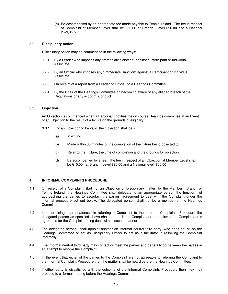(e) Be accompanied by an appropriate fee made payable to Tennis Ireland. The fee in respect of Complaint at Member Level shall be €30.00 at Branch Level €50.00 and a National level, €75.00.

#### **3.2 Disciplinary Action**

Disciplinary Action may be commenced in the following ways: -

- 3.2.1 By a Leader who imposes any "Immediate Sanction" against a Participant or Individual Associate.
- 3.2.2 By an Official who imposes any "Immediate Sanction" against a Participant or Individual Associate.
- 3.2.3 On receipt of a report from a Leader or Official to a Hearings Committee.
- 3.2.4 By the Chair of the Hearings Committee on becoming aware of any alleged breach of the Regulations or any act of misconduct.

## **3.3 Objection**

An Objection is commenced when a Participant notifies the on course Hearings committee at an Event of an Objection to the result of a fixture on the grounds of eligibility.

- 3.3.1 For an Objection to be valid, the Objection shall be:
	- (a) In writing
	- (b) Made within 30 minutes of the completion of the fixture being objected to
	- (c) Refer to the Fixture, the time of completion and the grounds for objection
	- (d) Be accompanied by a fee. The fee in respect of an Objection at Member Level shall be €10.00, at Branch Level €20.00 and a National level, €50.00

## **4. INFORMAL COMPLAINTS PROCEDURE**

- 4.1 On receipt of a Complaint, (but not an Objection or Disciplinary matter) by the Member, Branch or Tennis Ireland, the Hearings Committee shall delegate to an appropriate person the function of approaching the parties to ascertain the parties' agreement to deal with the Complaint under the informal procedure set out below. The delegated person shall not be a member of the Hearings **Committee**
- 4.2 In determining appropriateness in referring a Complaint to the Informal Complaints Procedure the delegated person as specified above shall approach the Complainant to confirm if the Complainant is agreeable for the Complaint being dealt with in such a manner.
- 4.3 The delegated person shall appoint another an informal neutral third party, who does not sit on the Hearings Committee or act as Disciplinary Officer to act as a facilitator in resolving the Complaint informally.
- 4.4 The informal neutral third party may contact or meet the parties and generally go between the parties in an attempt to resolve the Complaint
- 4.5 In the event that either of the parties to the Complaint are not agreeable to referring the Complaint to the Informal Complaint Procedure then the matter shall be heard before the Hearings Committee.
- 4.6 If either party is dissatisfied with the outcome of the Informal Complaints Procedure then they may proceed to a formal hearing before the Hearings Committee.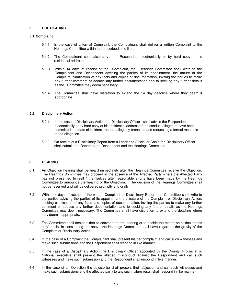#### **5. PRE HEARING**

#### **5.1 Complaint**

- 5.1.1 In the case of a formal Complaint, the Complainant shall deliver a written Complaint to the Hearings Committee within the prescribed time limit.
- 5.1.2 The Complainant shall also serve the Respondent electronically or by hard copy at his residential address.
- 5.1.3 Within 14 days of receipt of the Complaint, the Hearings Committee shall write to the Complainant and Respondent advising the parties of its appointment, the nature of the Complaint, clarification of any facts and copies of documentation, inviting the parties to make any further comment or adduce any further documentation and to seeking any further details as the Committee may deem necessary.
- 5.1.4 The Committee shall have discretion to extend the 14 day deadline where they deem it appropriate.

#### **5.2 Disciplinary Action**

- 5.2.1 In the case of Disciplinary Action the Disciplinary Officer shall advise the Respondent electronically or by hard copy at his residential address of the conduct alleged to have been committed, the date of incident, the rule allegedly breached and requesting a formal response to the allegation.
- 5.2.2 On receipt of a Disciplinary Report from a Leader or Official or Chair, the Disciplinary Officer shall submit the Report to the Respondent and the Hearings Committee.

## **6. HEARING**

- 6.1 An Objection hearing shall be heard immediately after the Hearings Committee receive the Objection. The Hearings Committee may proceed in the absence of the Affected Party where the Affected Party has not presented himself / themselves after reasonable efforts have been made by the Hearings Committee to announce the hearing of the Objection. The decision of the Hearings Committee shall not be reserved and will be delivered promptly and orally.
- 6.2 Within 14 days of receipt of the written Complaint or Disciplinary Report, the Committee shall write to the parties advising the parties of its appointment, the nature of the Complaint or Disciplinary Action, seeking clarification of any facts and copies of documentation, inviting the parties to make any further comment or adduce any further documentation and to seeking any further details as the Hearings Committee may deem necessary. The Committee shall have discretion to extend the deadline where they deem it appropriate.
- 6.3 The Committee shall decide either to convene an oral hearing or to decide the matter on a "documents only" basis. In considering the above the Hearings Committee shall have regard to the gravity of the Complaint or Disciplinary Action.
- 6.4 In the case of a Complaint the Complainant shall present his/her complaint and call such witnesses and make such submissions and the Respondent shall respond in like manner.
- 6.5 In the case of a Disciplinary Action the Disciplinary Officer appointed by the County, Provincial or National executive shall present the alleged misconduct against the Respondent and call such witnesses and make such submission and the Respondent shall respond in like manner.
- 6.6 In the case of an Objection the objector(s) shall present their objection and call such witnesses and make such submissions and the affected party to any such fixture result shall respond in like manner.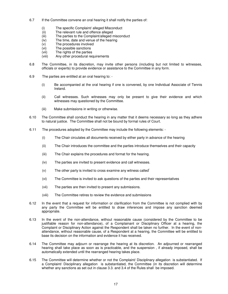- 6.7 If the Committee convene an oral hearing it shall notify the parties of:
	- (i) The specific Complaint/ alleged Misconduct
	- (ii) The relevant rule and offence alleged
	- (iii) The parties to the Complaint/alleged misconduct
	- (iv) The time, date and venue of the hearing
	- (v) The procedures involved<br>(vi) The possible sanctions
	- The possible sanctions
	- (vii) The rights of the parties
	- (viii) Any other procedural requirements
- 6.8 The Committee, in its discretion, may invite other persons (including but not limited to witnesses, officials or experts) to provide evidence or assistance to the Committee in any form.
- 6.9 The parties are entitled at an oral hearing to:
	- (i) Be accompanied at the oral hearing if one is convened, by one Individual Associate of Tennis Ireland.
	- (ii) Call witnesses. Such witnesses may only be present to give their evidence and which witnesses may questioned by the Committee.
	- (iii) Make submissions in writing or otherwise.
- 6.10 The Committee shall conduct the hearing in any matter that it deems necessary so long as they adhere to natural justice. The Committee shall not be bound by formal rules of Court.
- 6.11 The procedures adopted by the Committee may include the following elements:
	- (i) The Chair circulates all documents received by either party in advance of the hearing
	- (ii) The Chair introduces the committee and the parties introduce themselves and their capacity
	- (iii) The Chair explains the procedures and format for the hearing.
	- (iv) The parties are invited to present evidence and call witnesses.
	- $(v)$  The other party is invited to cross examine any witness called
	- (vi) The Committee is invited to ask questions of the parties and their representatives
	- (vii) The parties are then invited to present any submissions.
	- (viii) The Committee retires to review the evidence and submissions
- 6.12 In the event that a request for information or clarification from the Committee is not complied with by any party the Committee will be entitled to draw inferences and impose any sanction deemed appropriate.
- 6.13 In the event of the non-attendance, without reasonable cause (considered by the Committee to be justifiable reason for non-attendance), of a Complainant or Disciplinary Officer at a hearing, the Complaint or Disciplinary Action against the Respondent shall be taken no further. In the event of nonattendance, without reasonable cause, of a Respondent at a hearing, the Committee will be entitled to base its decision on the information and evidence it has received.
- 6.14 The Committee may adjourn or rearrange the hearing at its discretion. An adjourned or rearranged hearing shall take place as soon as is practicable, and the suspension , if already imposed, shall be automatically extended until the rearranged hearing takes place.
- 6.15 The Committee will determine whether or not the Complaint/ Disciplinary allegation is substantiated. If a Complaint/ Disciplinary allegation is substantiated, the Committee (in its discretion will determine whether any sanctions as set out in clause 3.3. and 3.4 of the Rules shall be imposed.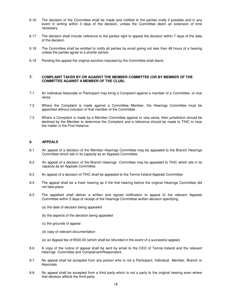- 6.16 The decision of the Committee shall be made and notified to the parties orally if possible and in any event in writing within 3 days of the decision, unless the Committee deem an extension of time necessary.
- 6.17 The decision shall include reference to the parties right to appeal the decision within 7 days of the date of the decision.
- 6.18 The Committee shall be entitled to notify all parties by email giving not less than 48 hours of a hearing unless the parties agree to a shorter period.
- 6.19 Pending the appeal the original sanction imposed by the Committee shall stand.

#### **7. COMPLAINT TAKEN BY OR AGAINST THE MEMBER COMMITTEE (OR BY MEMBER OF THE COMMITTEE AGAINST A MEMBER OF THE CLUB).**

- 7.1 An Individual Associate or Participant may bring a Complaint against a member of a Committee or vice versa.
- 7.2 Where the Complaint is made against a Committee Member, the Hearings Committee must be appointed without inclusion of that member of the Committee .
- 7.3 Where a Complaint is made by a Member Committee against or visa versa, then jurisdiction should be declined by the Member to determine the Complaint and a reference should be made to TIHC to hear the matter in the First Instance.

#### **8. APPEALS**

- 8.1 An appeal of a decision of the Member Hearings Committee may be appealed to the Branch Hearings Committee which sits in its capacity as an Appeals Committee.
- 8.2 An appeal of a decision of the Branch Hearings Committee may be appealed to TIHC which sits in its capacity as an Appeals Committee.
- 8.3 An appeal of a decision of TIHC shall be appealed to the Tennis Ireland Appeals Committee .
- 8.4 The appeal shall be a fresh hearing as if the first hearing before the original Hearings Committee did not take place.
- 8.5 The appellant shall deliver a written and signed notification to appeal to the relevant Appeals Committee within 5 days of receipt of the Hearings Committee written decision specifying
	- (a) the date of decision being appealed
	- (b) the aspects of the decision being appealed
	- (c) the grounds of appeal
	- (d) copy of relevant documentation
	- (e) an Appeal fee of €500.00 (which shall be refunded in the event of a successful appeal)
- 8.6 A copy of the notice of appeal shall be sent by email to the CEO of Tennis Ireland and the relevant Hearings Committee and Complainant/Respondent.
- 8.7 No appeal shall be accepted from any person who is not a Participant, Individual Member, Branch or Associate.
- 8.8 No appeal shall be accepted from a third party which is not a party to the original hearing even where that decision affects the third party.